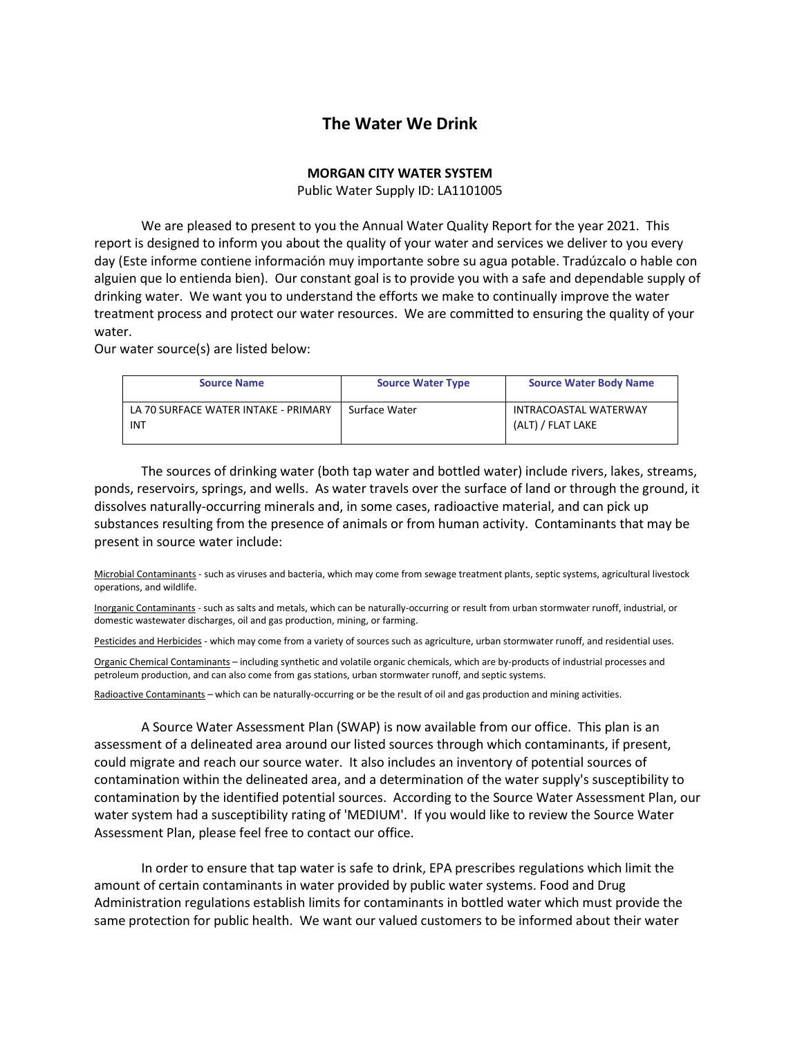## **The Water We Drink**

## **MORGAN CITY WATER SYSTEM**

Public Water Supply ID: LA1101005

We are pleased to present to you the Annual Water Quality Report for the year 2021. This report is designed to inform you about the quality of your water and services we deliver to you every day (Este informe contiene información muy importante sobre su agua potable. Tradúzcalo o hable con alguien que lo entienda bien). Our constant goal is to provide you with a safe and dependable supply of drinking water. We want you to understand the efforts we make to continually improve the water treatment process and protect our water resources. We are committed to ensuring the quality of your water.

Our water source(s) are listed below:

| <b>Source Name</b>                                 | <b>Source Water Type</b> | <b>Source Water Body Name</b>              |
|----------------------------------------------------|--------------------------|--------------------------------------------|
| LA 70 SURFACE WATER INTAKE - PRIMARY<br><b>INT</b> | Surface Water            | INTRACOASTAL WATERWAY<br>(ALT) / FLAT LAKE |

The sources of drinking water (both tap water and bottled water) include rivers, lakes, streams, ponds, reservoirs, springs, and wells. As water travels over the surface of land or through the ground, it dissolves naturally-occurring minerals and, in some cases, radioactive material, and can pick up substances resulting from the presence of animals or from human activity. Contaminants that may be present in source water include:

Microbial Contaminants - such as viruses and bacteria, which may come from sewage treatment plants, septic systems, agricultural livestock operations, and wildlife.

Inorganic Contaminants - such as salts and metals, which can be naturally-occurring or result from urban stormwater runoff, industrial, or domestic wastewater discharges, oil and gas production, mining, or farming.

Pesticides and Herbicides - which may come from a variety of sources such as agriculture, urban stormwater runoff, and residential uses.

Organic Chemical Contaminants – including synthetic and volatile organic chemicals, which are by-products of industrial processes and petroleum production, and can also come from gas stations, urban stormwater runoff, and septic systems.

Radioactive Contaminants – which can be naturally-occurring or be the result of oil and gas production and mining activities.

A Source Water Assessment Plan (SWAP) is now available from our office. This plan is an assessment of a delineated area around our listed sources through which contaminants, if present, could migrate and reach our source water. It also includes an inventory of potential sources of contamination within the delineated area, and a determination of the water supply's susceptibility to contamination by the identified potential sources. According to the Source Water Assessment Plan, our water system had a susceptibility rating of 'MEDIUM'. If you would like to review the Source Water Assessment Plan, please feel free to contact our office.

In order to ensure that tap water is safe to drink, EPA prescribes regulations which limit the amount of certain contaminants in water provided by public water systems. Food and Drug Administration regulations establish limits for contaminants in bottled water which must provide the same protection for public health. We want our valued customers to be informed about their water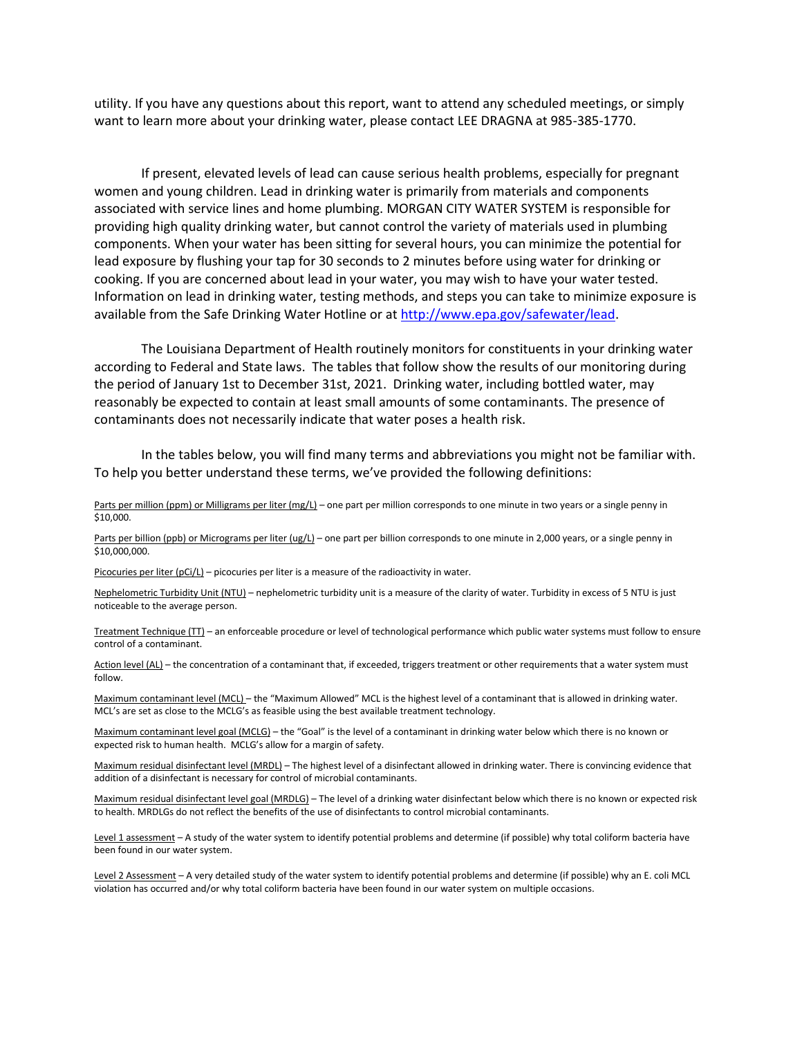utility. If you have any questions about this report, want to attend any scheduled meetings, or simply want to learn more about your drinking water, please contact LEE DRAGNA at 985-385-1770.

If present, elevated levels of lead can cause serious health problems, especially for pregnant women and young children. Lead in drinking water is primarily from materials and components associated with service lines and home plumbing. MORGAN CITY WATER SYSTEM is responsible for providing high quality drinking water, but cannot control the variety of materials used in plumbing components. When your water has been sitting for several hours, you can minimize the potential for lead exposure by flushing your tap for 30 seconds to 2 minutes before using water for drinking or cooking. If you are concerned about lead in your water, you may wish to have your water tested. Information on lead in drinking water, testing methods, and steps you can take to minimize exposure is available from the Safe Drinking Water Hotline or at http://www.epa.gov/safewater/lead.

The Louisiana Department of Health routinely monitors for constituents in your drinking water according to Federal and State laws. The tables that follow show the results of our monitoring during the period of January 1st to December 31st, 2021. Drinking water, including bottled water, may reasonably be expected to contain at least small amounts of some contaminants. The presence of contaminants does not necessarily indicate that water poses a health risk.

In the tables below, you will find many terms and abbreviations you might not be familiar with. To help you better understand these terms, we've provided the following definitions:

Parts per million (ppm) or Milligrams per liter (mg/L) – one part per million corresponds to one minute in two years or a single penny in \$10,000.

Parts per billion (ppb) or Micrograms per liter (ug/L) – one part per billion corresponds to one minute in 2,000 years, or a single penny in \$10,000,000.

Picocuries per liter (pCi/L) – picocuries per liter is a measure of the radioactivity in water.

Nephelometric Turbidity Unit (NTU) – nephelometric turbidity unit is a measure of the clarity of water. Turbidity in excess of 5 NTU is just noticeable to the average person.

Treatment Technique (TT) – an enforceable procedure or level of technological performance which public water systems must follow to ensure control of a contaminant.

Action level (AL) - the concentration of a contaminant that, if exceeded, triggers treatment or other requirements that a water system must follow.

Maximum contaminant level (MCL) – the "Maximum Allowed" MCL is the highest level of a contaminant that is allowed in drinking water. MCL's are set as close to the MCLG's as feasible using the best available treatment technology.

Maximum contaminant level goal (MCLG) – the "Goal" is the level of a contaminant in drinking water below which there is no known or expected risk to human health. MCLG's allow for a margin of safety.

Maximum residual disinfectant level (MRDL) – The highest level of a disinfectant allowed in drinking water. There is convincing evidence that addition of a disinfectant is necessary for control of microbial contaminants.

Maximum residual disinfectant level goal (MRDLG) – The level of a drinking water disinfectant below which there is no known or expected risk to health. MRDLGs do not reflect the benefits of the use of disinfectants to control microbial contaminants.

Level 1 assessment - A study of the water system to identify potential problems and determine (if possible) why total coliform bacteria have been found in our water system.

Level 2 Assessment - A very detailed study of the water system to identify potential problems and determine (if possible) why an E. coli MCL violation has occurred and/or why total coliform bacteria have been found in our water system on multiple occasions.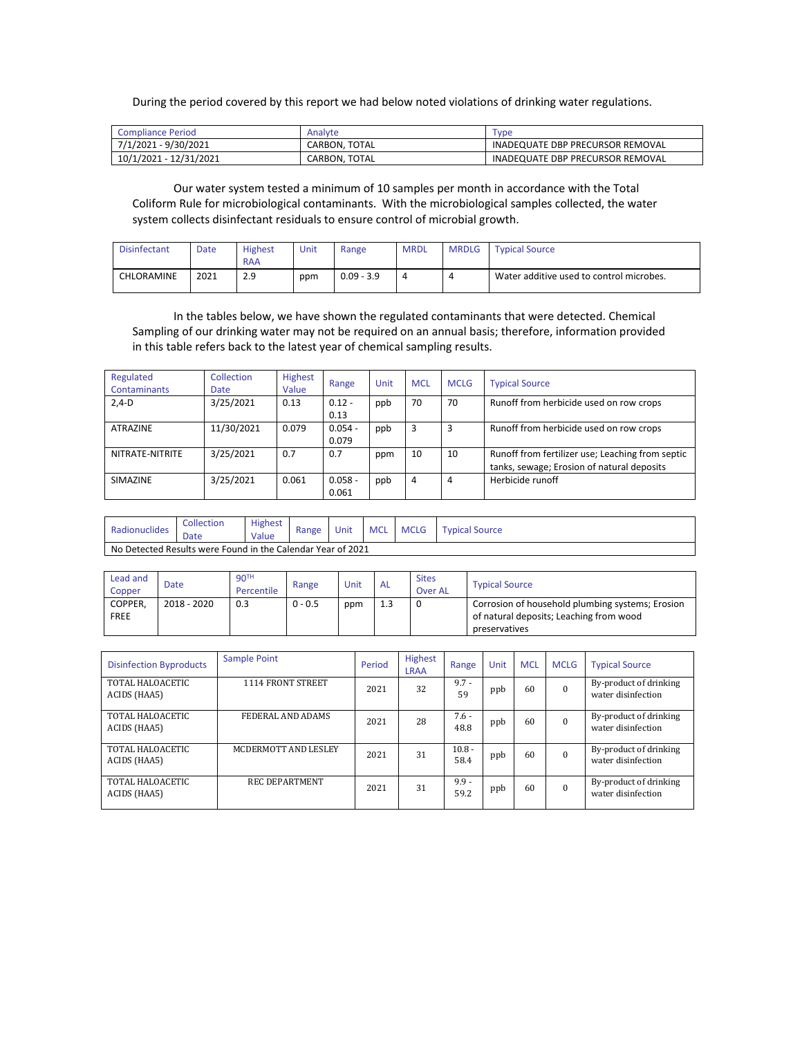During the period covered by this report we had below noted violations of drinking water regulations.

| <b>Compliance Period</b> | Analyte       | <b>vpe</b>                       |
|--------------------------|---------------|----------------------------------|
| 7/1/2021 - 9/30/2021     | CARBON, TOTAL | INADEQUATE DBP PRECURSOR REMOVAL |
| 10/1/2021 - 12/31/2021   | CARBON, TOTAL | INADEQUATE DBP PRECURSOR REMOVAL |

Our water system tested a minimum of 10 samples per month in accordance with the Total Coliform Rule for microbiological contaminants. With the microbiological samples collected, the water system collects disinfectant residuals to ensure control of microbial growth.

| <b>Disinfectant</b> | Date | Highest<br><b>RAA</b> | Unit | Range        | <b>MRDL</b> | <b>MRDLG</b> | <b>Typical Source</b>                    |
|---------------------|------|-----------------------|------|--------------|-------------|--------------|------------------------------------------|
| CHLORAMINE          | 2021 | າ ດ<br>2.5            | ppm  | $0.09 - 3.9$ |             |              | Water additive used to control microbes. |

In the tables below, we have shown the regulated contaminants that were detected. Chemical Sampling of our drinking water may not be required on an annual basis; therefore, information provided in this table refers back to the latest year of chemical sampling results.

| Regulated<br><b>Contaminants</b> | <b>Collection</b><br><b>Date</b> | <b>Highest</b><br>Value | Range              | Unit | <b>MCL</b> | <b>MCLG</b> | <b>Typical Source</b>                                                                          |
|----------------------------------|----------------------------------|-------------------------|--------------------|------|------------|-------------|------------------------------------------------------------------------------------------------|
| $2,4-D$                          | 3/25/2021                        | 0.13                    | $0.12 -$<br>0.13   | ppb  | 70         | 70          | Runoff from herbicide used on row crops                                                        |
| <b>ATRAZINE</b>                  | 11/30/2021                       | 0.079                   | $0.054 -$<br>0.079 | ppb  | 3          | 3           | Runoff from herbicide used on row crops                                                        |
| NITRATE-NITRITE                  | 3/25/2021                        | 0.7                     | 0.7                | ppm  | 10         | 10          | Runoff from fertilizer use; Leaching from septic<br>tanks, sewage; Erosion of natural deposits |
| <b>SIMAZINE</b>                  | 3/25/2021                        | 0.061                   | $0.058 -$<br>0.061 | ppb  | 4          | 4           | Herbicide runoff                                                                               |

| Radionuclides | Collection<br>Date                                          | Highest<br>Value | Range | Unit | <b>MCL</b> | <b>MCLG</b> | <b>Typical Source</b> |  |  |  |
|---------------|-------------------------------------------------------------|------------------|-------|------|------------|-------------|-----------------------|--|--|--|
|               | No Detected Results were Found in the Calendar Year of 2021 |                  |       |      |            |             |                       |  |  |  |

| Lead and<br>Copper | Date        | 90 <sup>TH</sup><br>Percentile | Range     | Unit | <b>AL</b> | <b>Sites</b><br><b>Over AL</b> | <b>Typical Source</b>                            |
|--------------------|-------------|--------------------------------|-----------|------|-----------|--------------------------------|--------------------------------------------------|
| COPPER,            | 2018 - 2020 | 0.3                            | $0 - 0.5$ | ppm  |           |                                | Corrosion of household plumbing systems; Erosion |
| <b>FREE</b>        |             |                                |           |      |           |                                | of natural deposits; Leaching from wood          |
|                    |             |                                |           |      |           |                                | preservatives                                    |

| <b>Disinfection Byproducts</b>   | Sample Point          | Period | <b>Highest</b><br><b>LRAA</b> | Range            | Unit | <b>MCL</b> | <b>MCLG</b> | <b>Typical Source</b>                        |
|----------------------------------|-----------------------|--------|-------------------------------|------------------|------|------------|-------------|----------------------------------------------|
| TOTAL HALOACETIC<br>ACIDS (HAA5) | 1114 FRONT STREET     | 2021   | 32                            | $9.7 -$<br>59    | ppb  | 60         | $\theta$    | By-product of drinking<br>water disinfection |
| TOTAL HALOACETIC<br>ACIDS (HAA5) | FEDERAL AND ADAMS     | 2021   | 28                            | $7.6 -$<br>48.8  | ppb  | 60         | $\Omega$    | By-product of drinking<br>water disinfection |
| TOTAL HALOACETIC<br>ACIDS (HAA5) | MCDERMOTT AND LESLEY  | 2021   | 31                            | $10.8 -$<br>58.4 | ppb  | 60         | $\Omega$    | By-product of drinking<br>water disinfection |
| TOTAL HALOACETIC<br>ACIDS (HAA5) | <b>REC DEPARTMENT</b> | 2021   | 31                            | $9.9 -$<br>59.2  | ppb  | 60         | $\Omega$    | By-product of drinking<br>water disinfection |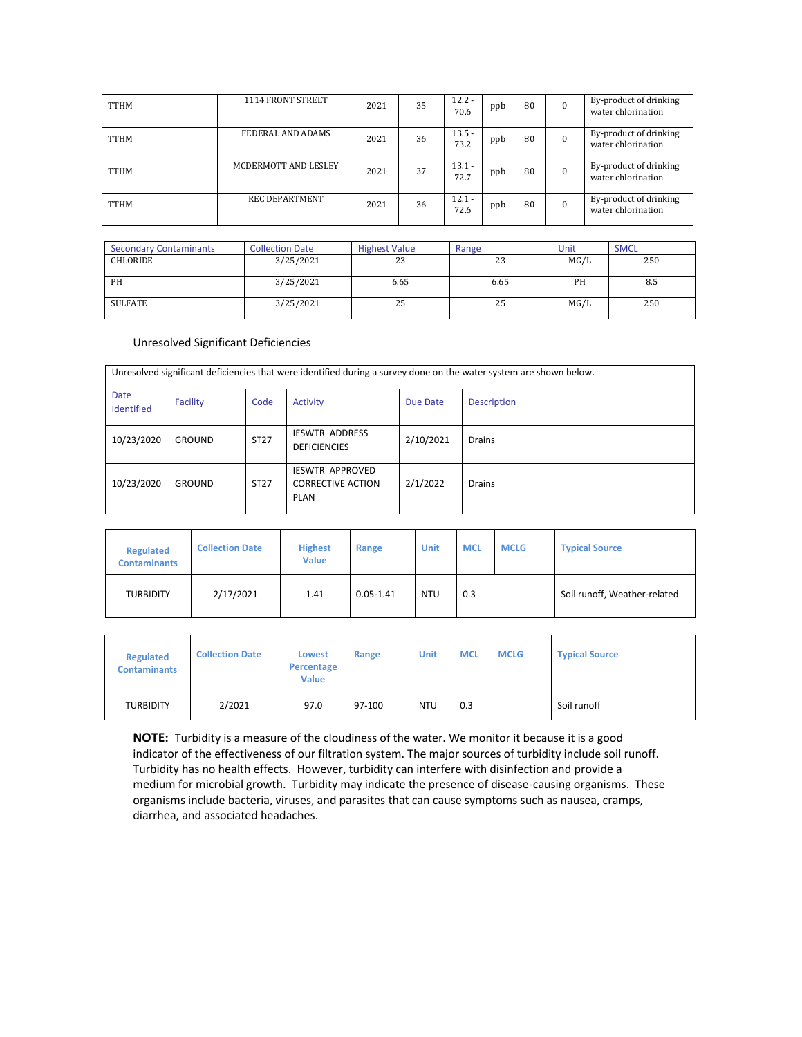| <b>TTHM</b> | 1114 FRONT STREET     | 2021 | 35 | $12.2 -$<br>70.6 | ppb | 80 | $\mathbf{0}$ | By-product of drinking<br>water chlorination |
|-------------|-----------------------|------|----|------------------|-----|----|--------------|----------------------------------------------|
| <b>TTHM</b> | FEDERAL AND ADAMS     | 2021 | 36 | $13.5 -$<br>73.2 | ppb | 80 | $\Omega$     | By-product of drinking<br>water chlorination |
| <b>TTHM</b> | MCDERMOTT AND LESLEY  | 2021 | 37 | $13.1 -$<br>72.7 | ppb | 80 | $\Omega$     | By-product of drinking<br>water chlorination |
| <b>TTHM</b> | <b>REC DEPARTMENT</b> | 2021 | 36 | $12.1 -$<br>72.6 | ppb | 80 | $\Omega$     | By-product of drinking<br>water chlorination |

| <b>Secondary Contaminants</b> | <b>Collection Date</b> | <b>Highest Value</b> | Range | Unit | <b>SMCL</b> |
|-------------------------------|------------------------|----------------------|-------|------|-------------|
| <b>CHLORIDE</b>               | 3/25/2021              | 23                   | 23    | MG/L | 250         |
| <b>PH</b>                     | 3/25/2021              | 6.65                 | 6.65  | PН   | 8.5         |
| SULFATE                       | 3/25/2021              | 25                   | 25    | MG/L | 250         |

## Unresolved Significant Deficiencies

| Unresolved significant deficiencies that were identified during a survey done on the water system are shown below. |               |             |                                                            |           |                    |  |  |  |  |
|--------------------------------------------------------------------------------------------------------------------|---------------|-------------|------------------------------------------------------------|-----------|--------------------|--|--|--|--|
| Date<br>Identified                                                                                                 | Facility      | Code        | Activity                                                   | Due Date  | <b>Description</b> |  |  |  |  |
| 10/23/2020                                                                                                         | <b>GROUND</b> | <b>ST27</b> | <b>IESWTR ADDRESS</b><br><b>DEFICIENCIES</b>               | 2/10/2021 | <b>Drains</b>      |  |  |  |  |
| 10/23/2020                                                                                                         | <b>GROUND</b> | ST27        | <b>IESWTR APPROVED</b><br><b>CORRECTIVE ACTION</b><br>PLAN | 2/1/2022  | <b>Drains</b>      |  |  |  |  |

| <b>Regulated</b><br><b>Contaminants</b> | <b>Collection Date</b> | <b>Highest</b><br><b>Value</b> | Range         | Unit       | <b>MCL</b> | <b>MCLG</b> | <b>Typical Source</b>        |
|-----------------------------------------|------------------------|--------------------------------|---------------|------------|------------|-------------|------------------------------|
| <b>TURBIDITY</b>                        | 2/17/2021              | 1.41                           | $0.05 - 1.41$ | <b>NTU</b> | 0.3        |             | Soil runoff, Weather-related |

| <b>Regulated</b><br><b>Contaminants</b> | <b>Collection Date</b> | <b>Lowest</b><br>Percentage<br><b>Value</b> | Range  | Unit       | <b>MCL</b> | <b>MCLG</b> | <b>Typical Source</b> |
|-----------------------------------------|------------------------|---------------------------------------------|--------|------------|------------|-------------|-----------------------|
| <b>TURBIDITY</b>                        | 2/2021                 | 97.0                                        | 97-100 | <b>NTU</b> | 0.3        |             | Soil runoff           |

**NOTE:** Turbidity is a measure of the cloudiness of the water. We monitor it because it is a good indicator of the effectiveness of our filtration system. The major sources of turbidity include soil runoff. Turbidity has no health effects. However, turbidity can interfere with disinfection and provide a medium for microbial growth. Turbidity may indicate the presence of disease-causing organisms. These organisms include bacteria, viruses, and parasites that can cause symptoms such as nausea, cramps, diarrhea, and associated headaches.